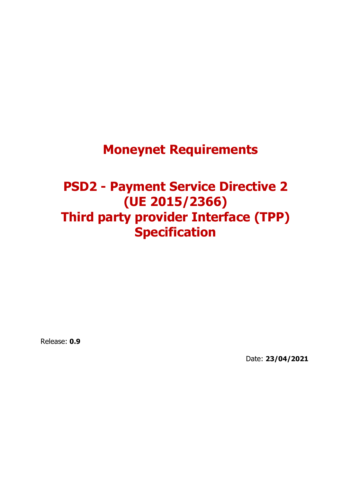# **Moneynet Requirements**

# **PSD2 - Payment Service Directive 2 (UE 2015/2366) Third party provider Interface (TPP) Specification**

Release: **0.9**

Date: **23/04/2021**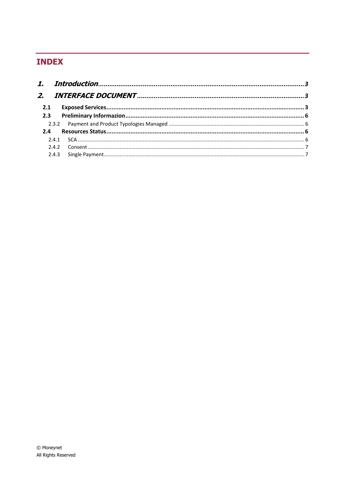# **INDEX**

| 2.1 |  |
|-----|--|
|     |  |
|     |  |
|     |  |
|     |  |
|     |  |
|     |  |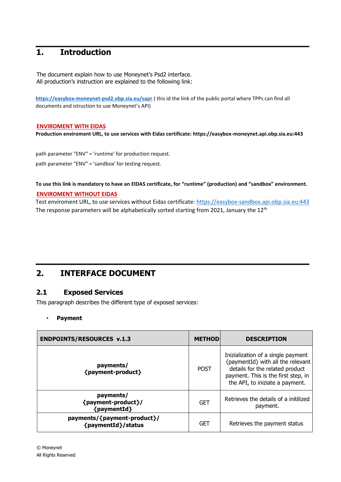# <span id="page-2-0"></span>**1. Introduction**

The document explain how to use Moneynet's Psd2 interface. All production's instruction are explained to the following link:

**<https://easybox-moneynet-psd2.obp.sia.eu/sapr>** ( this id the link of the public portal where TPPs can find all documents and istruction to use Moneynet's API)

#### **ENVIROMENT WITH EIDAS**

**Production enviroment URL, to use services with Eidas certificate: https://easybox-moneynet.api.obp.sia.eu:443**

path parameter "ENV" = 'runtime' for production request. path parameter "ENV" = 'sandbox' for testing request.

**To use this link is mandatory to have an EIDAS certificate, for "runtime" (production) and "sandbox" environment.**

#### **ENVIROMENT WITHOUT EIDAS**

Test enviroment URL, to use services without Eidas certificate: [https://easybox-sandbox.api.obp.sia.eu:443](https://easybox-sandbox.api.obp.sia.eu/) The response parameters will be alphabetically sorted starting from 2021, January the  $12<sup>th</sup>$ 

# <span id="page-2-1"></span>**2. INTERFACE DOCUMENT**

## <span id="page-2-2"></span>**2.1 Exposed Services**

This paragraph describes the different type of exposed services:

#### • **Payment**

| <b>ENDPOINTS/RESOURCES v.1.3</b>                  | <b>METHOD</b> | <b>DESCRIPTION</b>                                                                                                                                                                   |
|---------------------------------------------------|---------------|--------------------------------------------------------------------------------------------------------------------------------------------------------------------------------------|
| payments/<br>{payment-product}                    | <b>POST</b>   | Inizialization of a single payment<br>{paymentId} with all the relevant<br>details for the related product<br>payment. This is the first step, in<br>the API, to iniziate a payment. |
| payments/<br>{payment-product}/<br>${paymentId}$  | <b>GET</b>    | Retrieves the details of a initilized<br>payment.                                                                                                                                    |
| payments/{payment-product}/<br>{paymentId}/status | <b>GET</b>    | Retrieves the payment status                                                                                                                                                         |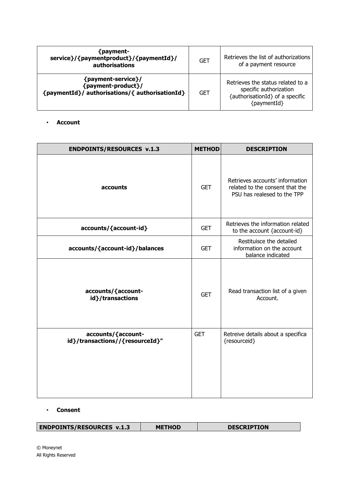| {payment-<br>service}/{paymentproduct}/{paymentId}/<br>authorisations                      | <b>GET</b> | Retrieves the list of authorizations<br>of a payment resource                                                 |
|--------------------------------------------------------------------------------------------|------------|---------------------------------------------------------------------------------------------------------------|
| {payment-service}/<br>{payment-product}/<br>{paymentId}/ authorisations/{ authorisationId} | <b>GET</b> | Retrieves the status related to a<br>specific authorization<br>{authorisationId} of a specific<br>{paymentId} |

#### • **Account**

| <b>ENDPOINTS/RESOURCES v.1.3</b>                      | <b>METHOD</b> | <b>DESCRIPTION</b>                                                                                |
|-------------------------------------------------------|---------------|---------------------------------------------------------------------------------------------------|
| accounts                                              | <b>GET</b>    | Retrieves accounts' information<br>related to the consent that the<br>PSU has realesed to the TPP |
| accounts/{account-id}                                 | <b>GET</b>    | Retrieves the information related<br>to the account {account-id}                                  |
| accounts/{account-id}/balances                        | <b>GET</b>    | Restituisce the detailed<br>information on the account<br>balance indicated                       |
| accounts/{account-<br>id}/transactions                | <b>GET</b>    | Read transaction list of a given<br>Account.                                                      |
| accounts/{account-<br>id}/transactions//{resourceId}" | <b>GET</b>    | Retreive details about a specifica<br>{resourceid}                                                |

#### • **Consent**

| <b>ENDPOINTS/RESOURCES v.1.3</b> | <b>METHOD</b> | <b>DESCRIPTION</b> |  |
|----------------------------------|---------------|--------------------|--|
|----------------------------------|---------------|--------------------|--|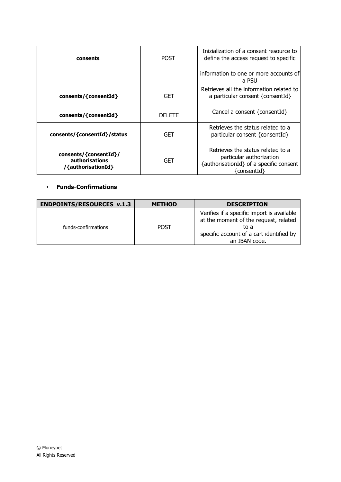| consents                                                      | POST          | Inizialization of a consent resource to<br>define the access request to specific                                        |
|---------------------------------------------------------------|---------------|-------------------------------------------------------------------------------------------------------------------------|
|                                                               |               | information to one or more accounts of<br>a PSU                                                                         |
| consents/{consentId}                                          | GET           | Retrieves all the information related to<br>a particular consent {consentId}                                            |
| consents/{consentId}                                          | <b>DELETE</b> | Cancel a consent { $constant$ ]                                                                                         |
| consents/{consentId}/status                                   | GET           | Retrieves the status related to a<br>particular consent {consentId}                                                     |
| consents/{consentId}/<br>authorisations<br>/{authorisationId} | GET           | Retrieves the status related to a<br>particular authorization<br>{authorisationId} of a specific consent<br>{consentId} |

## • **Funds-Confirmations**

| <b>ENDPOINTS/RESOURCES v.1.3</b> | <b>METHOD</b> | <b>DESCRIPTION</b>                                                                                                                                       |
|----------------------------------|---------------|----------------------------------------------------------------------------------------------------------------------------------------------------------|
| funds-confirmations              | <b>POST</b>   | Verifies if a specific import is available<br>at the moment of the request, related<br>to a<br>specific account of a cart identified by<br>an IBAN code. |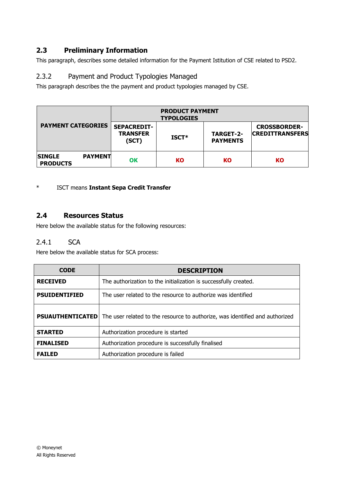# <span id="page-5-0"></span>**2.3 Preliminary Information**

This paragraph, describes some detailed information for the Payment Istitution of CSE related to PSD2.

# <span id="page-5-1"></span>2.3.2 Payment and Product Typologies Managed

This paragraph describes the the payment and product typologies managed by CSE.

| <b>PAYMENT CATEGORIES</b>        |                | <b>PRODUCT PAYMENT</b><br><b>TYPOLOGIES</b>    |         |                                     |                                               |
|----------------------------------|----------------|------------------------------------------------|---------|-------------------------------------|-----------------------------------------------|
|                                  |                | <b>SEPACREDIT-</b><br><b>TRANSFER</b><br>(SCT) | $ISCT*$ | <b>TARGET-2-</b><br><b>PAYMENTS</b> | <b>CROSSBORDER-</b><br><b>CREDITTRANSFERS</b> |
| <b>SINGLE</b><br><b>PRODUCTS</b> | <b>PAYMENT</b> | OK                                             | KO      | KO                                  | <b>KO</b>                                     |

## \* ISCT means **Instant Sepa Credit Transfer**

## <span id="page-5-2"></span>**2.4 Resources Status**

Here below the available status for the following resources:

### <span id="page-5-3"></span>2.4.1 SCA

Here below the available status for SCA process:

| <b>CODE</b>          | <b>DESCRIPTION</b>                                                                                   |
|----------------------|------------------------------------------------------------------------------------------------------|
| <b>RECEIVED</b>      | The authorization to the initialization is successfully created.                                     |
| <b>PSUIDENTIFIED</b> | The user related to the resource to authorize was identified                                         |
|                      | <b>PSUAUTHENTICATED</b> The user related to the resource to authorize, was identified and authorized |
| <b>STARTED</b>       | Authorization procedure is started                                                                   |
| <b>FINALISED</b>     | Authorization procedure is successfully finalised                                                    |
| <b>FAILED</b>        | Authorization procedure is failed                                                                    |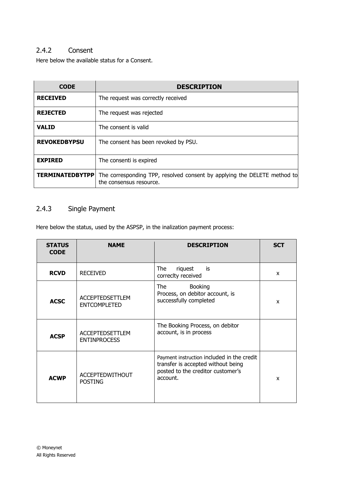# <span id="page-6-0"></span>2.4.2 Consent

Here below the available status for a Consent.

| <b>CODE</b>            | <b>DESCRIPTION</b>                                                                                  |
|------------------------|-----------------------------------------------------------------------------------------------------|
| <b>RECEIVED</b>        | The request was correctly received                                                                  |
| <b>REJECTED</b>        | The request was rejected                                                                            |
| <b>VALID</b>           | The consent is valid                                                                                |
| <b>REVOKEDBYPSU</b>    | The consent has been revoked by PSU.                                                                |
| <b>EXPIRED</b>         | The consenti is expired                                                                             |
| <b>TERMINATEDBYTPP</b> | The corresponding TPP, resolved consent by applying the DELETE method to<br>the consensus resource. |

# <span id="page-6-1"></span>2.4.3 Single Payment

Here below the status, used by the ASPSP, in the inalization payment process:

| <b>STATUS</b><br><b>CODE</b> | <b>NAME</b>                                   | <b>DESCRIPTION</b>                                                                                                                | <b>SCT</b>   |
|------------------------------|-----------------------------------------------|-----------------------------------------------------------------------------------------------------------------------------------|--------------|
| <b>RCVD</b>                  | <b>RECEIVED</b>                               | The<br>riquest<br>is<br>correclty received                                                                                        | X            |
| <b>ACSC</b>                  | <b>ACCEPTEDSETTLEM</b><br><b>ENTCOMPLETED</b> | <b>Booking</b><br>The<br>Process, on debitor account, is<br>successfully completed                                                | X            |
| <b>ACSP</b>                  | <b>ACCEPTEDSETTLEM</b><br><b>ENTINPROCESS</b> | The Booking Process, on debitor<br>account, is in process                                                                         |              |
| <b>ACWP</b>                  | <b>ACCEPTEDWITHOUT</b><br><b>POSTING</b>      | Payment instruction included in the credit<br>transfer is accepted without being<br>posted to the creditor customer's<br>account. | $\mathbf{x}$ |